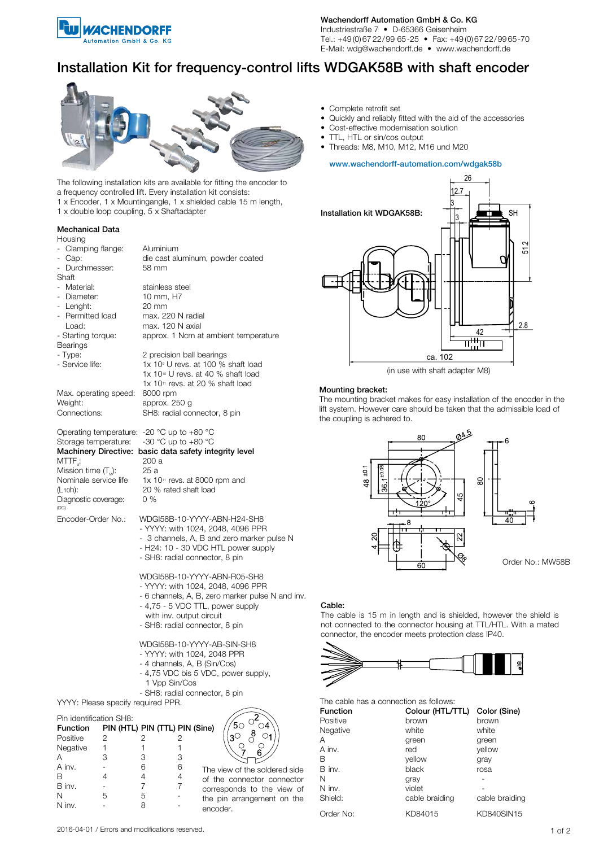

Wachendorff Automation GmbH & Co. KG

Industriestraße 7 • D-65366 Geisenheim Tel.: +49 (0) 67 22/99 65-25 • Fax: +49 (0) 67 22/99 65-70 E-Mail: wdg@wachendorff.de • www.wachendorff.de

# Installation Kit for frequency-control lifts WDGAK58B with shaft encoder



• Quickly and reliably fitted with the aid of the accessories

• Complete retrofit set

- Cost-effective modernisation solution
- TTL, HTL or sin/cos output
- Threads: M8, M10, M12, M16 und M20

## www.wachendorff-automation.com/wdgak58b

26



(in use with shaft adapter M8)

# Mounting bracket:

The mounting bracket makes for easy installation of the encoder in the lift system. However care should be taken that the admissible load of the coupling is adhered to.





The cable is 15 m in length and is shielded, however the shield is not connected to the connector housing at TTL/HTL. With a mated connector, the encoder meets protection class IP40.





| The cable has a connection as follows: |  |  |  |  |  |  |  |
|----------------------------------------|--|--|--|--|--|--|--|
|----------------------------------------|--|--|--|--|--|--|--|

| <b>Function</b> | Colour (HTL/TTL) | Color (Sine)   |
|-----------------|------------------|----------------|
| Positive        | brown            | brown          |
| Negative        | white            | white          |
| Α               | green            | green          |
| A inv.          | red              | vellow         |
| В               | vellow           | gray           |
| B inv.          | black            | rosa           |
| N               | gray             |                |
| N inv.          | violet           |                |
| Shield:         | cable braiding   | cable braiding |
| Order No:       | KD84015          | KD840SIN15     |

The following installation kits are available for fitting the encoder to a frequency controlled lift. Every installation kit consists:

- 1 x Encoder, 1 x Mountingangle, 1 x shielded cable 15 m length,
- 1 x double loop coupling, 5 x Shaftadapter

# Mechanical Data

| Housing                                        |                                                        |  |  |  |
|------------------------------------------------|--------------------------------------------------------|--|--|--|
| - Clamping flange:                             | Aluminium<br>die cast aluminum, powder coated          |  |  |  |
| - Cap:                                         |                                                        |  |  |  |
| - Durchmesser:                                 | 58 mm                                                  |  |  |  |
| Shaft                                          |                                                        |  |  |  |
| - Material:                                    | stainless steel                                        |  |  |  |
| - Diameter:                                    | 10 mm, H7                                              |  |  |  |
| - Lenght:                                      | $20 \text{ mm}$                                        |  |  |  |
| - Permitted load                               | max. 220 N radial                                      |  |  |  |
| Load:                                          | max. 120 N axial                                       |  |  |  |
| - Starting torque:                             | approx. 1 Ncm at ambient temperature                   |  |  |  |
| Bearings                                       |                                                        |  |  |  |
| - Type:                                        | 2 precision ball bearings                              |  |  |  |
| - Service life:                                | 1x 10 <sup>®</sup> U revs. at 100 % shaft load         |  |  |  |
|                                                | 1x 10 <sup>10</sup> U revs. at 40 % shaft load         |  |  |  |
|                                                | 1x 10 <sup>11</sup> revs. at 20 % shaft load           |  |  |  |
| Max. operating speed:                          | 8000 rpm                                               |  |  |  |
| Weight:                                        | approx. 250 g                                          |  |  |  |
| Connections:                                   | SH8: radial connector, 8 pin                           |  |  |  |
| Operating temperature: $-20$ °C up to $+80$ °C |                                                        |  |  |  |
| Storage temperature:                           | -30 °C up to +80 °C                                    |  |  |  |
|                                                | Machinery Directive: basic data safety integrity level |  |  |  |
| MTTF <sub>a</sub> :                            | 200 a                                                  |  |  |  |
| Mission time $(TM)$ :                          | 25 a                                                   |  |  |  |
| Nominale service life                          | $1x$ $10$ <sup>11</sup> revs. at 8000 rpm and          |  |  |  |
| (L <sub>10</sub> h):                           | 20 % rated shaft load                                  |  |  |  |
| Diagnostic coverage:<br>(DC)                   | $0\%$                                                  |  |  |  |
| Encoder-Order No.:                             | WDGI58B-10-YYYY-ABN-H24-SH8                            |  |  |  |
|                                                | - YYYY: with 1024, 2048, 4096 PPR                      |  |  |  |
|                                                | - 3 channels, A, B and zero marker pulse N             |  |  |  |
|                                                | - H24: 10 - 30 VDC HTL power supply                    |  |  |  |
|                                                | - SH8: radial connector, 8 pin                         |  |  |  |
|                                                |                                                        |  |  |  |
|                                                | WDGI58B-10-YYYY-ABN-R05-SH8                            |  |  |  |
|                                                | - YYYY: with 1024, 2048, 4096 PPR                      |  |  |  |
|                                                | - 6 channels, A, B, zero marker pulse N and inv.       |  |  |  |
|                                                | - 4,75 - 5 VDC TTL, power supply                       |  |  |  |
|                                                | with inv. output circuit                               |  |  |  |
|                                                | - SH8: radial connector, 8 pin                         |  |  |  |
|                                                | WDGI58B-10-YYYY-AB-SIN-SH8                             |  |  |  |
|                                                | - YYYY: with 1024, 2048 PPR                            |  |  |  |
|                                                | - 4 channels, A, B (Sin/Cos)                           |  |  |  |
|                                                | - 4,75 VDC bis 5 VDC, power supply,                    |  |  |  |
|                                                | 1 Vpp Sin/Cos                                          |  |  |  |
|                                                | - SH8: radial connector, 8 pin                         |  |  |  |
| YYYY: Please specify required PPR.             |                                                        |  |  |  |

### Pin identification SH8:

| <b>Function</b> |   | PIN (HTL) PIN (TTL) PIN (Sine) |   |                               |
|-----------------|---|--------------------------------|---|-------------------------------|
| Positive        |   |                                |   |                               |
| Negative        |   |                                |   |                               |
|                 |   |                                |   |                               |
| A inv.          |   | 6                              | 6 | The view of the soldered side |
|                 |   |                                |   | of the connector connector    |
| B inv.          |   |                                |   | corresponds to the view of    |
| N               | 5 | 5                              |   | the pin arrangement on the    |
| N inv.          |   | 8                              |   | encoder.                      |